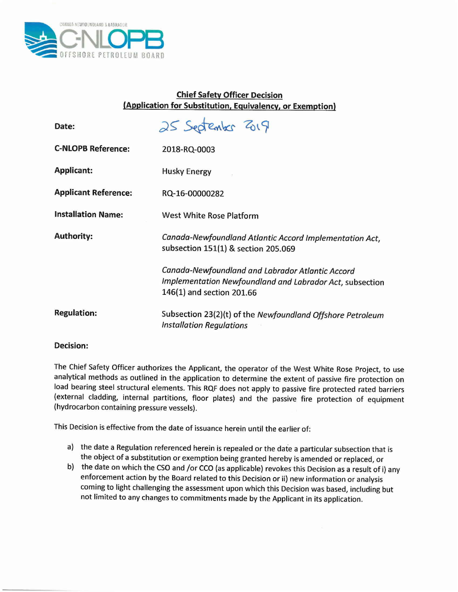

## Chief Safety Officer Decision (Application for Substitution, Equivalency, or Exemption)

| Date:                       | 25 September 2019                                                                                                                         |
|-----------------------------|-------------------------------------------------------------------------------------------------------------------------------------------|
| <b>C-NLOPB Reference:</b>   | 2018-RQ-0003                                                                                                                              |
| <b>Applicant:</b>           | <b>Husky Energy</b>                                                                                                                       |
| <b>Applicant Reference:</b> | RQ-16-00000282                                                                                                                            |
| <b>Installation Name:</b>   | <b>West White Rose Platform</b>                                                                                                           |
| <b>Authority:</b>           | Canada-Newfoundland Atlantic Accord Implementation Act,<br>subsection 151(1) & section 205.069                                            |
|                             | Canada-Newfoundland and Labrador Atlantic Accord<br>Implementation Newfoundland and Labrador Act, subsection<br>146(1) and section 201.66 |
| <b>Regulation:</b>          | Subsection 23(2)(t) of the Newfoundland Offshore Petroleum<br><b>Installation Regulations</b>                                             |

## Decision:

The Chief Safety Officer authorizes the Applicant, the operator of the West White Rose Project, to use analytical methods as outlined in the application to determine the extent of passive fire protection on load bearing steel structural elements. This RQF does not apply to passive fire protected rated barriers (external cladding, internal partitions, floor plates) and the passive fire protection of equipment (hydrocarbon containing pressure vessels).

This Decision is effective from the date of issuance herein until the earlier of:

- a) the date a Regulation referenced herein is repealed or the date a particular subsection that is the object of a substitution or exemption being granted hereby is amended or replaced, or
- b) the date on which the CSOand *lor* CCo (as applicable) revokes this Decision as a result of i) any enforcement action by the Board related to this Decision or ii) new information or analysis coming to light challenging the assessment upon which this Decision was based, including but not limited to any changes to commitments made by the Applicant in its application.